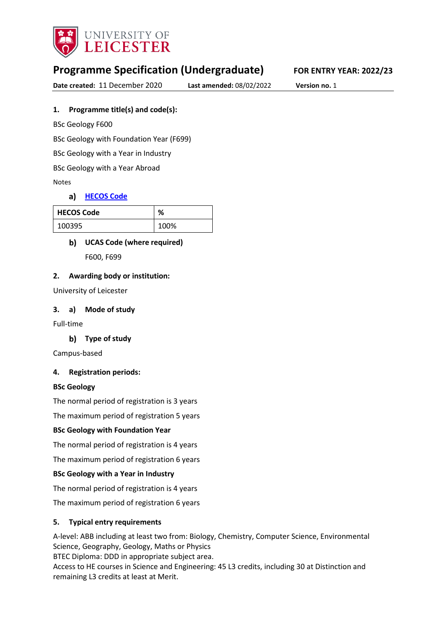

# **Programme Specification (Undergraduate) FOR ENTRY YEAR: 2022/23**

**Date created:** 11 December 2020 **Last amended:** 08/02/2022 **Version no.** 1

#### **1. Programme title(s) and code(s):**

BSc Geology F600

BSc Geology with Foundation Year (F699)

BSc Geology with a Year in Industry

BSc Geology with a Year Abroad

Notes

#### a) [HECOS Code](https://www.hesa.ac.uk/innovation/hecos)

| <b>HECOS Code</b> | %    |
|-------------------|------|
| 100395            | 100% |

#### **UCAS Code (where required)**

F600, F699

#### **2. Awarding body or institution:**

University of Leicester

#### **3. a) Mode of study**

Full-time

#### **Type of study**

Campus-based

#### **4. Registration periods:**

#### **BSc Geology**

The normal period of registration is 3 years

The maximum period of registration 5 years

#### **BSc Geology with Foundation Year**

The normal period of registration is 4 years

The maximum period of registration 6 years

#### **BSc Geology with a Year in Industry**

The normal period of registration is 4 years

The maximum period of registration 6 years

#### **5. Typical entry requirements**

A-level: ABB including at least two from: Biology, Chemistry, Computer Science, Environmental Science, Geography, Geology, Maths or Physics

BTEC Diploma: DDD in appropriate subject area.

Access to HE courses in Science and Engineering: 45 L3 credits, including 30 at Distinction and remaining L3 credits at least at Merit.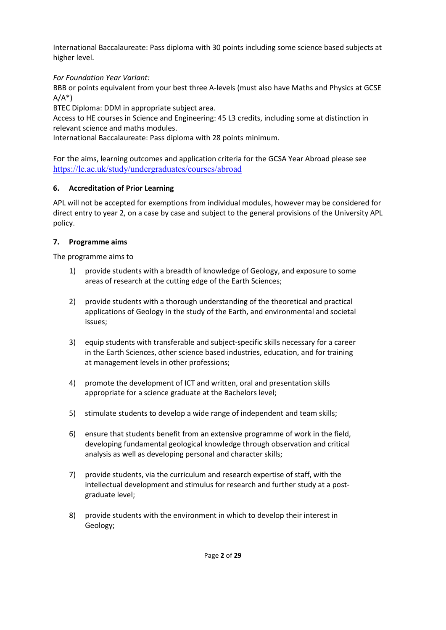International Baccalaureate: Pass diploma with 30 points including some science based subjects at higher level.

*For Foundation Year Variant:* 

BBB or points equivalent from your best three A-levels (must also have Maths and Physics at GCSE  $A/A^*$ 

BTEC Diploma: DDM in appropriate subject area.

Access to HE courses in Science and Engineering: 45 L3 credits, including some at distinction in relevant science and maths modules.

International Baccalaureate: Pass diploma with 28 points minimum.

For the aims, learning outcomes and application criteria for the GCSA Year Abroad please see <https://le.ac.uk/study/undergraduates/courses/abroad>

## **6. Accreditation of Prior Learning**

APL will not be accepted for exemptions from individual modules, however may be considered for direct entry to year 2, on a case by case and subject to the general provisions of the University APL policy.

## **7. Programme aims**

The programme aims to

- 1) provide students with a breadth of knowledge of Geology, and exposure to some areas of research at the cutting edge of the Earth Sciences;
- 2) provide students with a thorough understanding of the theoretical and practical applications of Geology in the study of the Earth, and environmental and societal issues;
- 3) equip students with transferable and subject-specific skills necessary for a career in the Earth Sciences, other science based industries, education, and for training at management levels in other professions;
- 4) promote the development of ICT and written, oral and presentation skills appropriate for a science graduate at the Bachelors level;
- 5) stimulate students to develop a wide range of independent and team skills;
- 6) ensure that students benefit from an extensive programme of work in the field, developing fundamental geological knowledge through observation and critical analysis as well as developing personal and character skills;
- 7) provide students, via the curriculum and research expertise of staff, with the intellectual development and stimulus for research and further study at a postgraduate level;
- 8) provide students with the environment in which to develop their interest in Geology;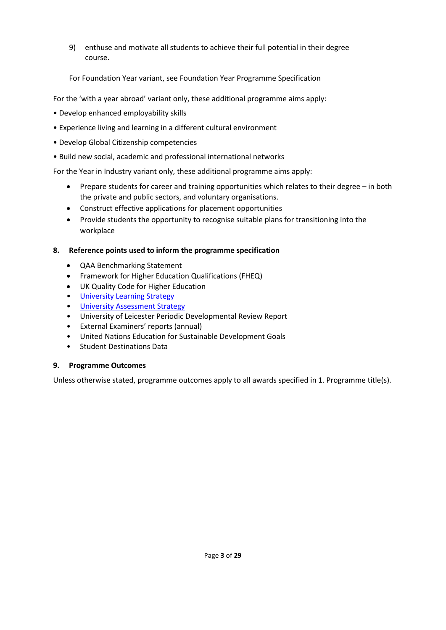9) enthuse and motivate all students to achieve their full potential in their degree course.

For Foundation Year variant, see Foundation Year Programme Specification

For the 'with a year abroad' variant only, these additional programme aims apply:

- Develop enhanced employability skills
- Experience living and learning in a different cultural environment
- Develop Global Citizenship competencies
- Build new social, academic and professional international networks

For the Year in Industry variant only, these additional programme aims apply:

- Prepare students for career and training opportunities which relates to their degree in both the private and public sectors, and voluntary organisations.
- Construct effective applications for placement opportunities
- Provide students the opportunity to recognise suitable plans for transitioning into the workplace

#### **8. Reference points used to inform the programme specification**

- QAA Benchmarking Statement
- Framework for Higher Education Qualifications (FHEQ)
- UK Quality Code for Higher Education
- University Learnin[g Strategy](https://www2.le.ac.uk/offices/sas2/quality/learnteach)
- [University Assessment Strategy](https://www2.le.ac.uk/offices/sas2/quality/learnteach)
- University of Leicester Periodic Developmental Review Report
- External Examiners' reports (annual)
- United Nations Education for Sustainable Development Goals
- Student Destinations Data

#### **9. Programme Outcomes**

Unless otherwise stated, programme outcomes apply to all awards specified in 1. Programme title(s).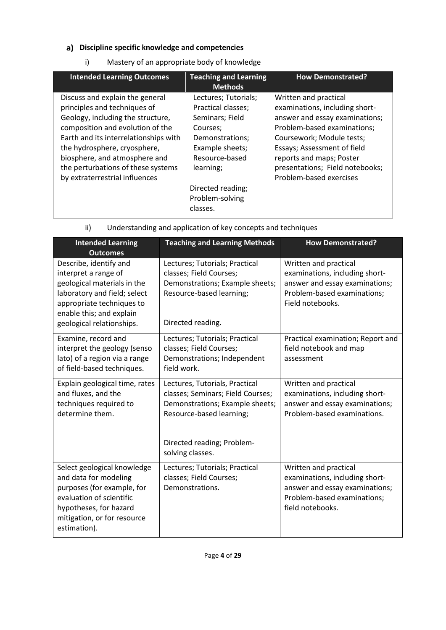## **Discipline specific knowledge and competencies**

i) Mastery of an appropriate body of knowledge

| <b>Intended Learning Outcomes</b>                                                                                                                                                                                                                                                                                          | <b>Teaching and Learning</b><br><b>Methods</b>                                                                                                                                                     | <b>How Demonstrated?</b>                                                                                                                                                                                                                                                       |
|----------------------------------------------------------------------------------------------------------------------------------------------------------------------------------------------------------------------------------------------------------------------------------------------------------------------------|----------------------------------------------------------------------------------------------------------------------------------------------------------------------------------------------------|--------------------------------------------------------------------------------------------------------------------------------------------------------------------------------------------------------------------------------------------------------------------------------|
| Discuss and explain the general<br>principles and techniques of<br>Geology, including the structure,<br>composition and evolution of the<br>Earth and its interrelationships with<br>the hydrosphere, cryosphere,<br>biosphere, and atmosphere and<br>the perturbations of these systems<br>by extraterrestrial influences | Lectures; Tutorials;<br>Practical classes;<br>Seminars; Field<br>Courses;<br>Demonstrations;<br>Example sheets;<br>Resource-based<br>learning;<br>Directed reading;<br>Problem-solving<br>classes. | Written and practical<br>examinations, including short-<br>answer and essay examinations;<br>Problem-based examinations;<br>Coursework; Module tests;<br>Essays; Assessment of field<br>reports and maps; Poster<br>presentations; Field notebooks;<br>Problem-based exercises |

| <b>Intended Learning</b><br><b>Outcomes</b>                                                                                                                                                         | <b>Teaching and Learning Methods</b>                                                                                                                             | <b>How Demonstrated?</b>                                                                                                                     |
|-----------------------------------------------------------------------------------------------------------------------------------------------------------------------------------------------------|------------------------------------------------------------------------------------------------------------------------------------------------------------------|----------------------------------------------------------------------------------------------------------------------------------------------|
| Describe, identify and<br>interpret a range of<br>geological materials in the<br>laboratory and field; select<br>appropriate techniques to<br>enable this; and explain<br>geological relationships. | Lectures; Tutorials; Practical<br>classes; Field Courses;<br>Demonstrations; Example sheets;<br>Resource-based learning;<br>Directed reading.                    | Written and practical<br>examinations, including short-<br>answer and essay examinations;<br>Problem-based examinations;<br>Field notebooks. |
| Examine, record and<br>interpret the geology (senso<br>lato) of a region via a range<br>of field-based techniques.                                                                                  | Lectures; Tutorials; Practical<br>classes; Field Courses;<br>Demonstrations; Independent<br>field work.                                                          | Practical examination; Report and<br>field notebook and map<br>assessment                                                                    |
| Explain geological time, rates<br>and fluxes, and the<br>techniques required to<br>determine them.                                                                                                  | Lectures, Tutorials, Practical<br>classes; Seminars; Field Courses;<br>Demonstrations; Example sheets;<br>Resource-based learning;<br>Directed reading; Problem- | Written and practical<br>examinations, including short-<br>answer and essay examinations;<br>Problem-based examinations.                     |
| Select geological knowledge<br>and data for modeling<br>purposes (for example, for<br>evaluation of scientific<br>hypotheses, for hazard<br>mitigation, or for resource<br>estimation).             | solving classes.<br>Lectures; Tutorials; Practical<br>classes; Field Courses;<br>Demonstrations.                                                                 | Written and practical<br>examinations, including short-<br>answer and essay examinations;<br>Problem-based examinations;<br>field notebooks. |

ii) Understanding and application of key concepts and techniques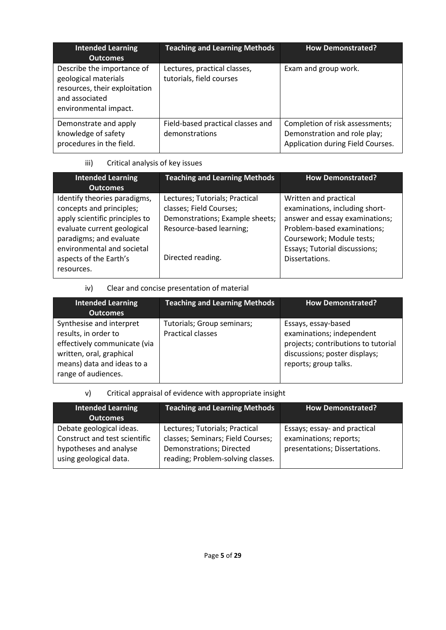| <b>Intended Learning</b><br><b>Outcomes</b>                                                                                    | <b>Teaching and Learning Methods</b>                     | <b>How Demonstrated?</b>                                                                             |
|--------------------------------------------------------------------------------------------------------------------------------|----------------------------------------------------------|------------------------------------------------------------------------------------------------------|
| Describe the importance of<br>geological materials<br>resources, their exploitation<br>and associated<br>environmental impact. | Lectures, practical classes,<br>tutorials, field courses | Exam and group work.                                                                                 |
| Demonstrate and apply<br>knowledge of safety<br>procedures in the field.                                                       | Field-based practical classes and<br>demonstrations      | Completion of risk assessments;<br>Demonstration and role play;<br>Application during Field Courses. |

## iii) Critical analysis of key issues

| Identify theories paradigms,<br>Lectures; Tutorials; Practical<br>Written and practical<br>concepts and principles;<br>classes; Field Courses;                                                                                                                | <b>Intended Learning</b><br><b>Outcomes</b> | <b>Teaching and Learning Methods</b> | <b>How Demonstrated?</b>                                                                        |
|---------------------------------------------------------------------------------------------------------------------------------------------------------------------------------------------------------------------------------------------------------------|---------------------------------------------|--------------------------------------|-------------------------------------------------------------------------------------------------|
| evaluate current geological<br>Resource-based learning;<br>paradigms; and evaluate<br>Coursework; Module tests;<br>environmental and societal<br>Essays; Tutorial discussions;<br>Directed reading.<br>aspects of the Earth's<br>Dissertations.<br>resources. | apply scientific principles to              | Demonstrations; Example sheets;      | examinations, including short-<br>answer and essay examinations;<br>Problem-based examinations; |

## iv) Clear and concise presentation of material

| <b>Intended Learning</b><br><b>Outcomes</b>                                                                                                                       | <b>Teaching and Learning Methods</b>                   | <b>How Demonstrated?</b>                                                                                                                          |
|-------------------------------------------------------------------------------------------------------------------------------------------------------------------|--------------------------------------------------------|---------------------------------------------------------------------------------------------------------------------------------------------------|
| Synthesise and interpret<br>results, in order to<br>effectively communicate (via<br>written, oral, graphical<br>means) data and ideas to a<br>range of audiences. | Tutorials; Group seminars;<br><b>Practical classes</b> | Essays, essay-based<br>examinations; independent<br>projects; contributions to tutorial<br>discussions; poster displays;<br>reports; group talks. |

### v) Critical appraisal of evidence with appropriate insight

| <b>Intended Learning</b><br><b>Outcomes</b>                                                                   | <b>Teaching and Learning Methods</b>                                                                                                 | <b>How Demonstrated?</b>                                                                |
|---------------------------------------------------------------------------------------------------------------|--------------------------------------------------------------------------------------------------------------------------------------|-----------------------------------------------------------------------------------------|
| Debate geological ideas.<br>Construct and test scientific<br>hypotheses and analyse<br>using geological data. | Lectures; Tutorials; Practical<br>classes; Seminars; Field Courses;<br>Demonstrations; Directed<br>reading; Problem-solving classes. | Essays; essay- and practical<br>examinations; reports;<br>presentations; Dissertations. |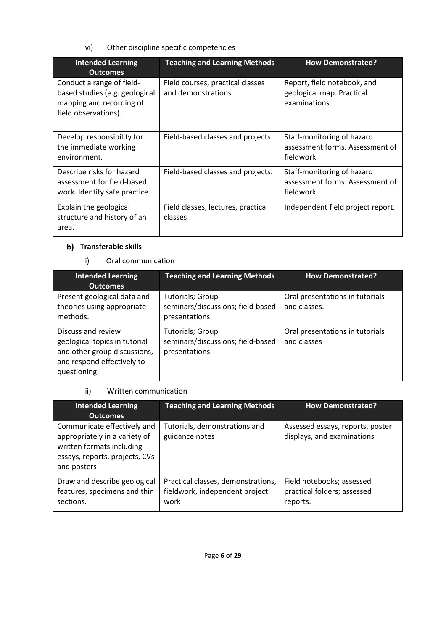vi) Other discipline specific competencies

| <b>Intended Learning</b><br><b>Outcomes</b>                                                                     | <b>Teaching and Learning Methods</b>                    | <b>How Demonstrated?</b>                                                    |
|-----------------------------------------------------------------------------------------------------------------|---------------------------------------------------------|-----------------------------------------------------------------------------|
| Conduct a range of field-<br>based studies (e.g. geological<br>mapping and recording of<br>field observations). | Field courses, practical classes<br>and demonstrations. | Report, field notebook, and<br>geological map. Practical<br>examinations    |
| Develop responsibility for<br>the immediate working<br>environment.                                             | Field-based classes and projects.                       | Staff-monitoring of hazard<br>assessment forms. Assessment of<br>fieldwork. |
| Describe risks for hazard<br>assessment for field-based<br>work. Identify safe practice.                        | Field-based classes and projects.                       | Staff-monitoring of hazard<br>assessment forms. Assessment of<br>fieldwork. |
| Explain the geological<br>structure and history of an<br>area.                                                  | Field classes, lectures, practical<br>classes           | Independent field project report.                                           |

## **b)** Transferable skills

i) Oral communication

| <b>Intended Learning</b><br><b>Outcomes</b>                                                                                       | <b>Teaching and Learning Methods</b>                                           | <b>How Demonstrated?</b>                        |
|-----------------------------------------------------------------------------------------------------------------------------------|--------------------------------------------------------------------------------|-------------------------------------------------|
| Present geological data and<br>theories using appropriate<br>methods.                                                             | Tutorials; Group<br>seminars/discussions; field-based<br>presentations.        | Oral presentations in tutorials<br>and classes. |
| Discuss and review<br>geological topics in tutorial<br>and other group discussions,<br>and respond effectively to<br>questioning. | <b>Tutorials; Group</b><br>seminars/discussions; field-based<br>presentations. | Oral presentations in tutorials<br>and classes  |

ii) Written communication

| <b>Intended Learning</b><br><b>Outcomes</b>                                                                                                | <b>Teaching and Learning Methods</b>                                         | <b>How Demonstrated?</b>                                             |
|--------------------------------------------------------------------------------------------------------------------------------------------|------------------------------------------------------------------------------|----------------------------------------------------------------------|
| Communicate effectively and<br>appropriately in a variety of<br>written formats including<br>essays, reports, projects, CVs<br>and posters | Tutorials, demonstrations and<br>guidance notes                              | Assessed essays, reports, poster<br>displays, and examinations       |
| Draw and describe geological<br>features, specimens and thin<br>sections.                                                                  | Practical classes, demonstrations,<br>fieldwork, independent project<br>work | Field notebooks; assessed<br>practical folders; assessed<br>reports. |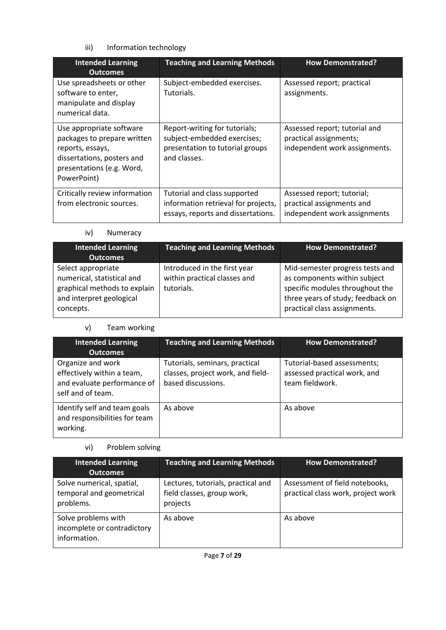## iii) Information technology

| <b>Intended Learning</b><br><b>Outcomes</b>                                                                                                           | <b>Teaching and Learning Methods</b>                                                                            | <b>How Demonstrated?</b>                                                                 |
|-------------------------------------------------------------------------------------------------------------------------------------------------------|-----------------------------------------------------------------------------------------------------------------|------------------------------------------------------------------------------------------|
| Use spreadsheets or other<br>software to enter,<br>manipulate and display<br>numerical data.                                                          | Subject-embedded exercises.<br>Tutorials.                                                                       | Assessed report; practical<br>assignments.                                               |
| Use appropriate software<br>packages to prepare written<br>reports, essays,<br>dissertations, posters and<br>presentations (e.g. Word,<br>PowerPoint) | Report-writing for tutorials;<br>subject-embedded exercises;<br>presentation to tutorial groups<br>and classes. | Assessed report; tutorial and<br>practical assignments;<br>independent work assignments. |
| Critically review information<br>from electronic sources.                                                                                             | Tutorial and class supported<br>information retrieval for projects,<br>essays, reports and dissertations.       | Assessed report; tutorial;<br>practical assignments and<br>independent work assignments  |

iv) Numeracy

| <b>Intended Learning</b><br><b>Outcomes</b>                                                                               | <b>Teaching and Learning Methods</b>                                       | <b>How Demonstrated?</b>                                                                                                                                                |
|---------------------------------------------------------------------------------------------------------------------------|----------------------------------------------------------------------------|-------------------------------------------------------------------------------------------------------------------------------------------------------------------------|
| Select appropriate<br>numerical, statistical and<br>graphical methods to explain<br>and interpret geological<br>concepts. | Introduced in the first year<br>within practical classes and<br>tutorials. | Mid-semester progress tests and<br>as components within subject<br>specific modules throughout the<br>three years of study; feedback on<br>practical class assignments. |

#### v) Team working

| <b>Intended Learning</b><br><b>Outcomes</b>                                                         | <b>Teaching and Learning Methods</b>                                                      | <b>How Demonstrated?</b>                                                       |
|-----------------------------------------------------------------------------------------------------|-------------------------------------------------------------------------------------------|--------------------------------------------------------------------------------|
| Organize and work<br>effectively within a team,<br>and evaluate performance of<br>self and of team. | Tutorials, seminars, practical<br>classes, project work, and field-<br>based discussions. | Tutorial-based assessments;<br>assessed practical work, and<br>team fieldwork. |
| Identify self and team goals<br>and responsibilities for team<br>working.                           | As above                                                                                  | As above                                                                       |

### vi) Problem solving

| <b>Intended Learning</b><br><b>Outcomes</b>                        | <b>Teaching and Learning Methods</b>                                         | <b>How Demonstrated?</b>                                             |
|--------------------------------------------------------------------|------------------------------------------------------------------------------|----------------------------------------------------------------------|
| Solve numerical, spatial,<br>temporal and geometrical<br>problems. | Lectures, tutorials, practical and<br>field classes, group work,<br>projects | Assessment of field notebooks,<br>practical class work, project work |
| Solve problems with<br>incomplete or contradictory<br>information. | As above                                                                     | As above                                                             |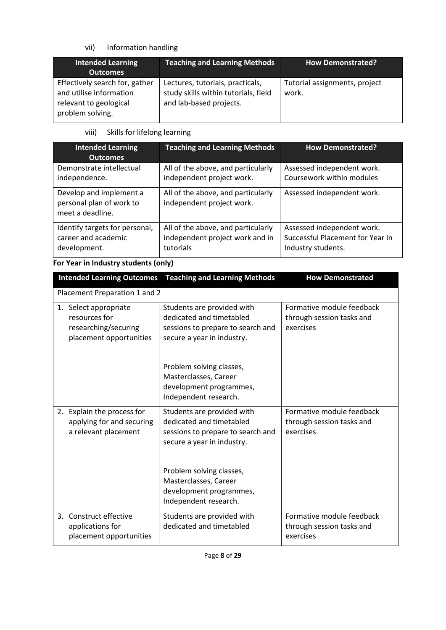## vii) Information handling

| <b>Intended Learning</b><br><b>Outcomes</b>                                                             | <b>Teaching and Learning Methods</b>                                                                | <b>How Demonstrated?</b>               |
|---------------------------------------------------------------------------------------------------------|-----------------------------------------------------------------------------------------------------|----------------------------------------|
| Effectively search for, gather<br>and utilise information<br>relevant to geological<br>problem solving. | Lectures, tutorials, practicals,<br>study skills within tutorials, field<br>and lab-based projects. | Tutorial assignments, project<br>work. |

### viii) Skills for lifelong learning

| <b>Intended Learning</b><br><b>Outcomes</b>                             | <b>Teaching and Learning Methods</b>                            | <b>How Demonstrated?</b>         |
|-------------------------------------------------------------------------|-----------------------------------------------------------------|----------------------------------|
| Demonstrate intellectual                                                | All of the above, and particularly                              | Assessed independent work.       |
| independence.                                                           | independent project work.                                       | Coursework within modules        |
| Develop and implement a<br>personal plan of work to<br>meet a deadline. | All of the above, and particularly<br>independent project work. | Assessed independent work.       |
| Identify targets for personal,                                          | All of the above, and particularly                              | Assessed independent work.       |
| career and academic                                                     | independent project work and in                                 | Successful Placement for Year in |
| development.                                                            | tutorials                                                       | Industry students.               |

## **For Year in Industry students (only)**

| <b>Intended Learning Outcomes</b>                                                         | <b>Teaching and Learning Methods</b>                                                                                      | <b>How Demonstrated</b>                                             |  |  |  |  |
|-------------------------------------------------------------------------------------------|---------------------------------------------------------------------------------------------------------------------------|---------------------------------------------------------------------|--|--|--|--|
|                                                                                           | Placement Preparation 1 and 2                                                                                             |                                                                     |  |  |  |  |
| 1. Select appropriate<br>resources for<br>researching/securing<br>placement opportunities | Students are provided with<br>dedicated and timetabled<br>sessions to prepare to search and<br>secure a year in industry. | Formative module feedback<br>through session tasks and<br>exercises |  |  |  |  |
|                                                                                           | Problem solving classes,<br>Masterclasses, Career<br>development programmes,<br>Independent research.                     |                                                                     |  |  |  |  |
| 2. Explain the process for<br>applying for and securing<br>a relevant placement           | Students are provided with<br>dedicated and timetabled<br>sessions to prepare to search and<br>secure a year in industry. | Formative module feedback<br>through session tasks and<br>exercises |  |  |  |  |
|                                                                                           | Problem solving classes,<br>Masterclasses, Career<br>development programmes,<br>Independent research.                     |                                                                     |  |  |  |  |
| 3. Construct effective<br>applications for<br>placement opportunities                     | Students are provided with<br>dedicated and timetabled                                                                    | Formative module feedback<br>through session tasks and<br>exercises |  |  |  |  |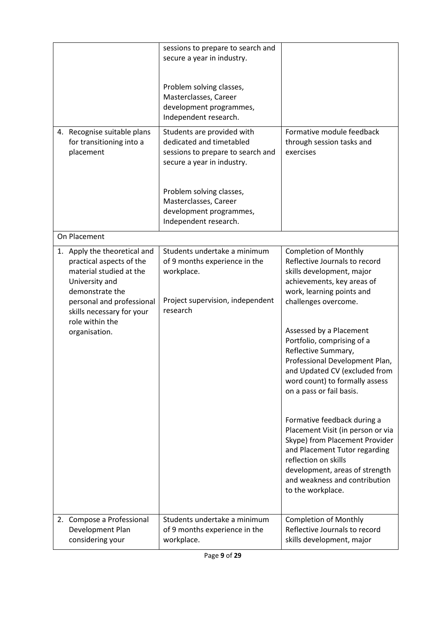|                                                                                                                                                                                                                        | sessions to prepare to search and<br>secure a year in industry.<br>Problem solving classes,<br>Masterclasses, Career<br>development programmes,<br>Independent research.                                                           |                                                                                                                                                                                                                                                                                                                                                                                                                                                                                                                                                                                                 |
|------------------------------------------------------------------------------------------------------------------------------------------------------------------------------------------------------------------------|------------------------------------------------------------------------------------------------------------------------------------------------------------------------------------------------------------------------------------|-------------------------------------------------------------------------------------------------------------------------------------------------------------------------------------------------------------------------------------------------------------------------------------------------------------------------------------------------------------------------------------------------------------------------------------------------------------------------------------------------------------------------------------------------------------------------------------------------|
| 4. Recognise suitable plans<br>for transitioning into a<br>placement                                                                                                                                                   | Students are provided with<br>dedicated and timetabled<br>sessions to prepare to search and<br>secure a year in industry.<br>Problem solving classes,<br>Masterclasses, Career<br>development programmes,<br>Independent research. | Formative module feedback<br>through session tasks and<br>exercises                                                                                                                                                                                                                                                                                                                                                                                                                                                                                                                             |
| On Placement                                                                                                                                                                                                           |                                                                                                                                                                                                                                    |                                                                                                                                                                                                                                                                                                                                                                                                                                                                                                                                                                                                 |
| 1. Apply the theoretical and<br>practical aspects of the<br>material studied at the<br>University and<br>demonstrate the<br>personal and professional<br>skills necessary for your<br>role within the<br>organisation. | Students undertake a minimum<br>of 9 months experience in the<br>workplace.<br>Project supervision, independent<br>research                                                                                                        | <b>Completion of Monthly</b><br>Reflective Journals to record<br>skills development, major<br>achievements, key areas of<br>work, learning points and<br>challenges overcome.<br>Assessed by a Placement<br>Portfolio, comprising of a<br>Reflective Summary,<br>Professional Development Plan,<br>and Updated CV (excluded from<br>word count) to formally assess<br>on a pass or fail basis.<br>Formative feedback during a<br>Placement Visit (in person or via<br>Skype) from Placement Provider<br>and Placement Tutor regarding<br>reflection on skills<br>development, areas of strength |
| 2. Compose a Professional                                                                                                                                                                                              | Students undertake a minimum                                                                                                                                                                                                       | and weakness and contribution<br>to the workplace.<br><b>Completion of Monthly</b>                                                                                                                                                                                                                                                                                                                                                                                                                                                                                                              |
| Development Plan<br>considering your                                                                                                                                                                                   | of 9 months experience in the<br>workplace.                                                                                                                                                                                        | Reflective Journals to record<br>skills development, major                                                                                                                                                                                                                                                                                                                                                                                                                                                                                                                                      |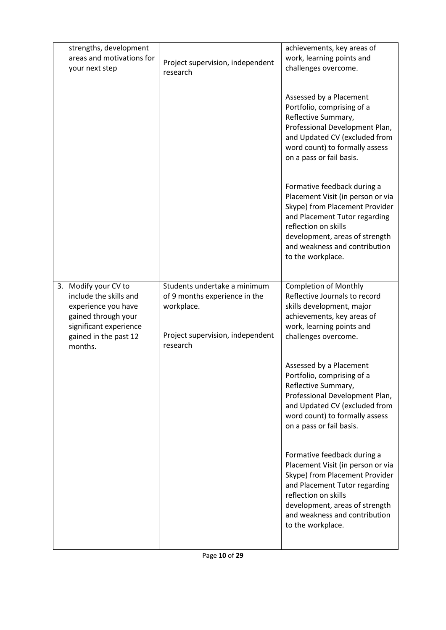| strengths, development<br>areas and motivations for<br>your next step                                                                                      | Project supervision, independent<br>research                                                                                | achievements, key areas of<br>work, learning points and<br>challenges overcome.                                                                                                                                                                     |
|------------------------------------------------------------------------------------------------------------------------------------------------------------|-----------------------------------------------------------------------------------------------------------------------------|-----------------------------------------------------------------------------------------------------------------------------------------------------------------------------------------------------------------------------------------------------|
|                                                                                                                                                            |                                                                                                                             | Assessed by a Placement<br>Portfolio, comprising of a<br>Reflective Summary,<br>Professional Development Plan,<br>and Updated CV (excluded from<br>word count) to formally assess<br>on a pass or fail basis.                                       |
|                                                                                                                                                            |                                                                                                                             | Formative feedback during a<br>Placement Visit (in person or via<br>Skype) from Placement Provider<br>and Placement Tutor regarding<br>reflection on skills<br>development, areas of strength<br>and weakness and contribution<br>to the workplace. |
| 3. Modify your CV to<br>include the skills and<br>experience you have<br>gained through your<br>significant experience<br>gained in the past 12<br>months. | Students undertake a minimum<br>of 9 months experience in the<br>workplace.<br>Project supervision, independent<br>research | <b>Completion of Monthly</b><br>Reflective Journals to record<br>skills development, major<br>achievements, key areas of<br>work, learning points and<br>challenges overcome.                                                                       |
|                                                                                                                                                            |                                                                                                                             | Assessed by a Placement<br>Portfolio, comprising of a<br>Reflective Summary,<br>Professional Development Plan,<br>and Updated CV (excluded from<br>word count) to formally assess<br>on a pass or fail basis.                                       |
|                                                                                                                                                            |                                                                                                                             | Formative feedback during a<br>Placement Visit (in person or via<br>Skype) from Placement Provider<br>and Placement Tutor regarding<br>reflection on skills<br>development, areas of strength<br>and weakness and contribution<br>to the workplace. |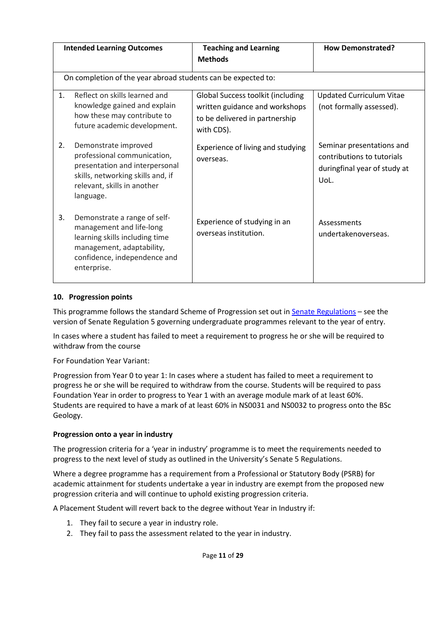| <b>Intended Learning Outcomes</b> |                                                                                                                                                                        | <b>Teaching and Learning</b><br><b>Methods</b>                                                                      |                                                                                                 |
|-----------------------------------|------------------------------------------------------------------------------------------------------------------------------------------------------------------------|---------------------------------------------------------------------------------------------------------------------|-------------------------------------------------------------------------------------------------|
|                                   | On completion of the year abroad students can be expected to:                                                                                                          |                                                                                                                     |                                                                                                 |
| 1 <sub>1</sub>                    | Reflect on skills learned and<br>knowledge gained and explain<br>how these may contribute to<br>future academic development.                                           | Global Success toolkit (including<br>written guidance and workshops<br>to be delivered in partnership<br>with CDS). | <b>Updated Curriculum Vitae</b><br>(not formally assessed).                                     |
| 2.                                | Demonstrate improved<br>professional communication,<br>presentation and interpersonal<br>skills, networking skills and, if<br>relevant, skills in another<br>language. | Experience of living and studying<br>overseas.                                                                      | Seminar presentations and<br>contributions to tutorials<br>duringfinal year of study at<br>UoL. |
| 3.                                | Demonstrate a range of self-<br>management and life-long<br>learning skills including time<br>management, adaptability,<br>confidence, independence and<br>enterprise. | Experience of studying in an<br>overseas institution.                                                               | Assessments<br>undertakenoverseas.                                                              |

#### **10. Progression points**

This programme follows the standard Scheme of Progression set out i[n Senate Regulations](http://www.le.ac.uk/senate-regulations) – see the version of Senate Regulation 5 governing undergraduate programmes relevant to the year of entry.

In cases where a student has failed to meet a requirement to progress he or she will be required to withdraw from the course

For Foundation Year Variant:

Progression from Year 0 to year 1: In cases where a student has failed to meet a requirement to progress he or she will be required to withdraw from the course. Students will be required to pass Foundation Year in order to progress to Year 1 with an average module mark of at least 60%. Students are required to have a mark of at least 60% in NS0031 and NS0032 to progress onto the BSc Geology.

### **Progression onto a year in industry**

The progression criteria for a 'year in industry' programme is to meet the requirements needed to progress to the next level of study as outlined in the University's Senate 5 Regulations.

Where a degree programme has a requirement from a Professional or Statutory Body (PSRB) for academic attainment for students undertake a year in industry are exempt from the proposed new progression criteria and will continue to uphold existing progression criteria.

A Placement Student will revert back to the degree without Year in Industry if:

- 1. They fail to secure a year in industry role.
- 2. They fail to pass the assessment related to the year in industry.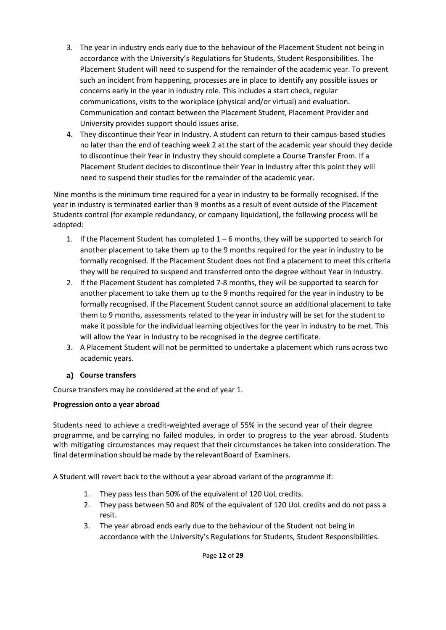- 3. The year in industry ends early due to the behaviour of the Placement Student not being in accordance with the University's Regulations for Students, Student Responsibilities. The Placement Student will need to suspend for the remainder of the academic year. To prevent such an incident from happening, processes are in place to identify any possible issues or concerns early in the year in industry role. This includes a start check, regular communications, visits to the workplace (physical and/or virtual) and evaluation. Communication and contact between the Placement Student, Placement Provider and University provides support should issues arise.
- 4. They discontinue their Year in Industry. A student can return to their campus-based studies no later than the end of teaching week 2 at the start of the academic year should they decide to discontinue their Year in Industry they should complete a Course Transfer From. If a Placement Student decides to discontinue their Year in Industry after this point they will need to suspend their studies for the remainder of the academic year.

Nine months is the minimum time required for a year in industry to be formally recognised. If the year in industry is terminated earlier than 9 months as a result of event outside of the Placement Students control (for example redundancy, or company liquidation), the following process will be adopted:

- 1. If the Placement Student has completed  $1-6$  months, they will be supported to search for another placement to take them up to the 9 months required for the year in industry to be formally recognised. If the Placement Student does not find a placement to meet this criteria they will be required to suspend and transferred onto the degree without Year in Industry.
- 2. If the Placement Student has completed 7-8 months, they will be supported to search for another placement to take them up to the 9 months required for the year in industry to be formally recognised. If the Placement Student cannot source an additional placement to take them to 9 months, assessments related to the year in industry will be set for the student to make it possible for the individual learning objectives for the year in industry to be met. This will allow the Year in Industry to be recognised in the degree certificate.
- 3. A Placement Student will not be permitted to undertake a placement which runs across two academic years.

## **Course transfers**

Course transfers may be considered at the end of year 1.

### **Progression onto a year abroad**

Students need to achieve a credit-weighted average of 55% in the second year of their degree programme, and be carrying no failed modules, in order to progress to the year abroad. Students with mitigating circumstances may request that their circumstances be taken into consideration. The final determination should be made by the relevantBoard of Examiners.

A Student will revert back to the without a year abroad variant of the programme if:

- 1. They pass less than 50% of the equivalent of 120 UoL credits.
- 2. They pass between 50 and 80% of the equivalent of 120 UoL credits and do not pass a resit.
- 3. The year abroad ends early due to the behaviour of the Student not being in accordance with the University's Regulations for Students, Student Responsibilities.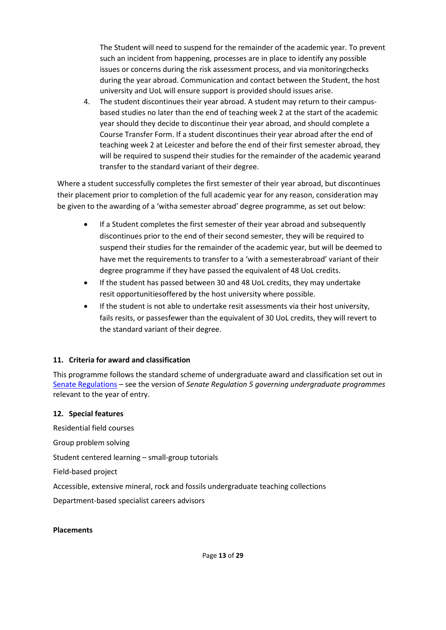The Student will need to suspend for the remainder of the academic year. To prevent such an incident from happening, processes are in place to identify any possible issues or concerns during the risk assessment process, and via monitoringchecks during the year abroad. Communication and contact between the Student, the host university and UoL will ensure support is provided should issues arise.

4. The student discontinues their year abroad. A student may return to their campusbased studies no later than the end of teaching week 2 at the start of the academic year should they decide to discontinue their year abroad, and should complete a Course Transfer Form. If a student discontinues their year abroad after the end of teaching week 2 at Leicester and before the end of their first semester abroad, they will be required to suspend their studies for the remainder of the academic yearand transfer to the standard variant of their degree.

Where a student successfully completes the first semester of their year abroad, but discontinues their placement prior to completion of the full academic year for any reason, consideration may be given to the awarding of a 'witha semester abroad' degree programme, as set out below:

- If a Student completes the first semester of their year abroad and subsequently discontinues prior to the end of their second semester, they will be required to suspend their studies for the remainder of the academic year, but will be deemed to have met the requirements to transfer to a 'with a semesterabroad' variant of their degree programme if they have passed the equivalent of 48 UoL credits.
- If the student has passed between 30 and 48 UoL credits, they may undertake resit opportunitiesoffered by the host university where possible.
- If the student is not able to undertake resit assessments via their host university, fails resits, or passesfewer than the equivalent of 30 UoL credits, they will revert to the standard variant of their degree.

### **11. Criteria for award and classification**

This programme follows the standard scheme of undergraduate award and classification set out in [Senate Regulations](http://www.le.ac.uk/senate-regulations) – see the version of *Senate Regulation 5 governing undergraduate programmes* relevant to the year of entry.

### **12. Special features**

Residential field courses Group problem solving Student centered learning – small-group tutorials Field-based project Accessible, extensive mineral, rock and fossils undergraduate teaching collections Department-based specialist careers advisors

#### **Placements**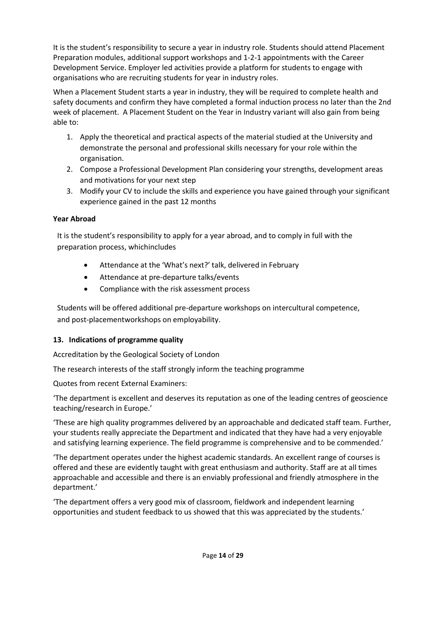It is the student's responsibility to secure a year in industry role. Students should attend Placement Preparation modules, additional support workshops and 1-2-1 appointments with the Career Development Service. Employer led activities provide a platform for students to engage with organisations who are recruiting students for year in industry roles.

When a Placement Student starts a year in industry, they will be required to complete health and safety documents and confirm they have completed a formal induction process no later than the 2nd week of placement. A Placement Student on the Year in Industry variant will also gain from being able to:

- 1. Apply the theoretical and practical aspects of the material studied at the University and demonstrate the personal and professional skills necessary for your role within the organisation.
- 2. Compose a Professional Development Plan considering your strengths, development areas and motivations for your next step
- 3. Modify your CV to include the skills and experience you have gained through your significant experience gained in the past 12 months

### **Year Abroad**

It is the student's responsibility to apply for a year abroad, and to comply in full with the preparation process, whichincludes

- Attendance at the 'What's next?' talk, delivered in February
- Attendance at pre-departure talks/events
- Compliance with the risk assessment process

Students will be offered additional pre-departure workshops on intercultural competence, and post-placementworkshops on employability.

## **13. Indications of programme quality**

Accreditation by the Geological Society of London

The research interests of the staff strongly inform the teaching programme

Quotes from recent External Examiners:

'The department is excellent and deserves its reputation as one of the leading centres of geoscience teaching/research in Europe.'

'These are high quality programmes delivered by an approachable and dedicated staff team. Further, your students really appreciate the Department and indicated that they have had a very enjoyable and satisfying learning experience. The field programme is comprehensive and to be commended.'

'The department operates under the highest academic standards. An excellent range of courses is offered and these are evidently taught with great enthusiasm and authority. Staff are at all times approachable and accessible and there is an enviably professional and friendly atmosphere in the department.'

'The department offers a very good mix of classroom, fieldwork and independent learning opportunities and student feedback to us showed that this was appreciated by the students.'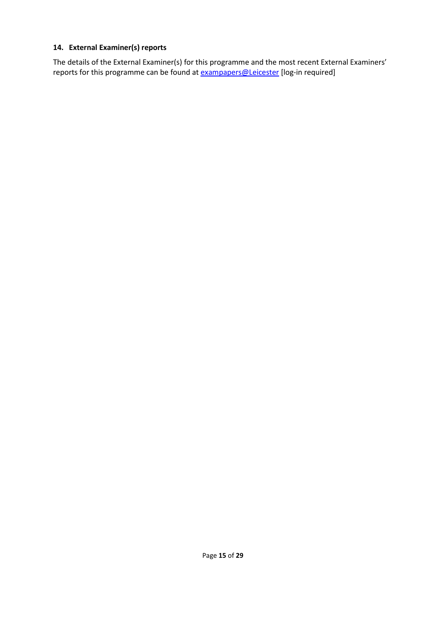### **14. External Examiner(s) reports**

The details of the External Examiner(s) for this programme and the most recent External Examiners' reports for this programme can be found at **[exampapers@Leicester](https://exampapers.le.ac.uk/)** [log-in required]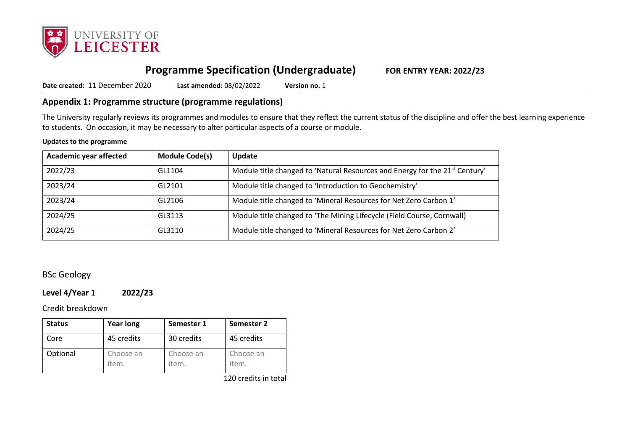

# **Programme Specification (Undergraduate) FOR ENTRY YEAR: 2022/23**

**Date created:** 11 December 2020 **Last amended:** 08/02/2022 **Version no.** 1

## **Appendix 1: Programme structure (programme regulations)**

The University regularly reviews its programmes and modules to ensure that they reflect the current status of the discipline and offer the best learning experience to students. On occasion, it may be necessary to alter particular aspects of a course or module.

#### **Updates to the programme**

| <b>Academic year affected</b> | <b>Module Code(s)</b> | Update                                                                                  |
|-------------------------------|-----------------------|-----------------------------------------------------------------------------------------|
| 2022/23                       | GL1104                | Module title changed to 'Natural Resources and Energy for the 21 <sup>st</sup> Century' |
| 2023/24                       | GL2101                | Module title changed to 'Introduction to Geochemistry'                                  |
| 2023/24                       | GL2106                | Module title changed to 'Mineral Resources for Net Zero Carbon 1'                       |
| 2024/25                       | GL3113                | Module title changed to 'The Mining Lifecycle (Field Course, Cornwall)                  |
| 2024/25                       | GL3110                | Module title changed to 'Mineral Resources for Net Zero Carbon 2'                       |

### BSc Geology

### **Level 4/Year 1 2022/23**

#### Credit breakdown

| <b>Status</b> | <b>Year long</b>   | Semester 1         | Semester 2         |
|---------------|--------------------|--------------------|--------------------|
| Core          | 45 credits         | 30 credits         | 45 credits         |
| Optional      | Choose an<br>item. | Choose an<br>item. | Choose an<br>item. |

120 credits in total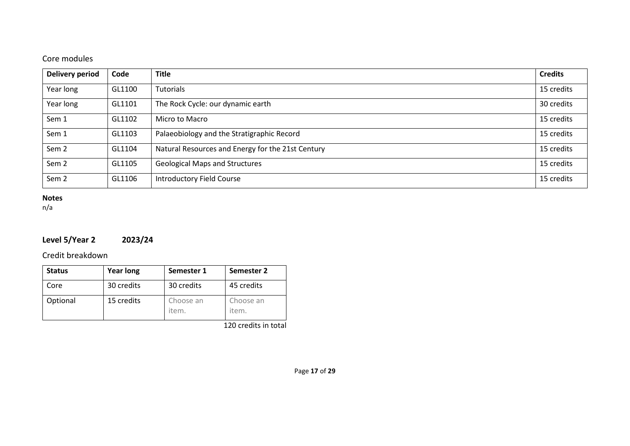## Core modules

| <b>Delivery period</b> | Code   | <b>Title</b>                                      | <b>Credits</b> |
|------------------------|--------|---------------------------------------------------|----------------|
| Year long              | GL1100 | <b>Tutorials</b>                                  | 15 credits     |
| Year long              | GL1101 | The Rock Cycle: our dynamic earth                 | 30 credits     |
| Sem 1                  | GL1102 | Micro to Macro                                    | 15 credits     |
| Sem 1                  | GL1103 | Palaeobiology and the Stratigraphic Record        | 15 credits     |
| Sem <sub>2</sub>       | GL1104 | Natural Resources and Energy for the 21st Century | 15 credits     |
| Sem <sub>2</sub>       | GL1105 | <b>Geological Maps and Structures</b>             | 15 credits     |
| Sem <sub>2</sub>       | GL1106 | <b>Introductory Field Course</b>                  | 15 credits     |

### **Notes**

n/a

# **Level 5/Year 2 2023/24**

Credit breakdown

| <b>Status</b> | <b>Year long</b> | Semester 1         | Semester 2         |
|---------------|------------------|--------------------|--------------------|
| Core          | 30 credits       | 30 credits         | 45 credits         |
| Optional      | 15 credits       | Choose an<br>item. | Choose an<br>item. |

120 credits in total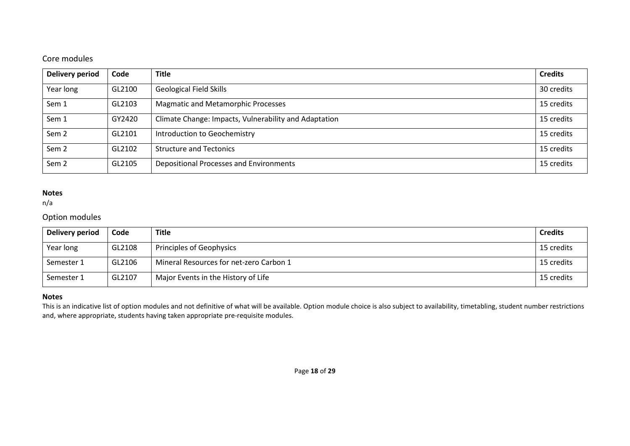## Core modules

| <b>Delivery period</b> | Code   | <b>Title</b>                                          | <b>Credits</b> |
|------------------------|--------|-------------------------------------------------------|----------------|
| Year long              | GL2100 | <b>Geological Field Skills</b>                        | 30 credits     |
| Sem 1                  | GL2103 | <b>Magmatic and Metamorphic Processes</b>             | 15 credits     |
| Sem 1                  | GY2420 | Climate Change: Impacts, Vulnerability and Adaptation | 15 credits     |
| Sem <sub>2</sub>       | GL2101 | Introduction to Geochemistry                          | 15 credits     |
| Sem <sub>2</sub>       | GL2102 | <b>Structure and Tectonics</b>                        | 15 credits     |
| Sem <sub>2</sub>       | GL2105 | Depositional Processes and Environments               | 15 credits     |

#### **Notes**

n/a

### Option modules

| Delivery period | Code   | <b>Title</b>                            | <b>Credits</b> |
|-----------------|--------|-----------------------------------------|----------------|
| Year long       | GL2108 | Principles of Geophysics                | 15 credits     |
| Semester 1      | GL2106 | Mineral Resources for net-zero Carbon 1 | 15 credits     |
| Semester 1      | GL2107 | Major Events in the History of Life     | 15 credits     |

#### **Notes**

This is an indicative list of option modules and not definitive of what will be available. Option module choice is also subject to availability, timetabling, student number restrictions and, where appropriate, students having taken appropriate pre-requisite modules.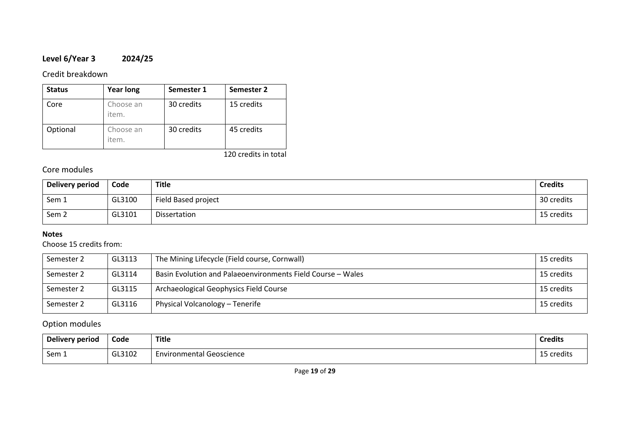## **Level 6/Year 3 2024/25**

### Credit breakdown

| <b>Status</b> | <b>Year long</b>   | Semester 1 | Semester 2 |
|---------------|--------------------|------------|------------|
| Core          | Choose an<br>item. | 30 credits | 15 credits |
| Optional      | Choose an<br>item. | 30 credits | 45 credits |

120 credits in total

## Core modules

| Delivery period  | Code   | Title               | <b>Credits</b> |
|------------------|--------|---------------------|----------------|
| Sem 1            | GL3100 | Field Based project | 30 credits     |
| Sem <sub>2</sub> | GL3101 | Dissertation        | 15 credits     |

### **Notes**

## Choose 15 credits from:

| Semester 2 | GL3113 | The Mining Lifecycle (Field course, Cornwall)               | 15 credits |
|------------|--------|-------------------------------------------------------------|------------|
| Semester 2 | GL3114 | Basin Evolution and Palaeoenvironments Field Course - Wales | 15 credits |
| Semester 2 | GL3115 | Archaeological Geophysics Field Course                      | 15 credits |
| Semester 2 | GL3116 | Physical Volcanology - Tenerife                             | 15 credits |

### Option modules

| Delivery period | Code   | <b>Title</b>                  | <b>Credits</b>                                  |
|-----------------|--------|-------------------------------|-------------------------------------------------|
| Sem 1           | GL3102 | Geoscience<br>Environmental G | .<br>$\overline{\phantom{a}}$<br>credits i<br>∸ |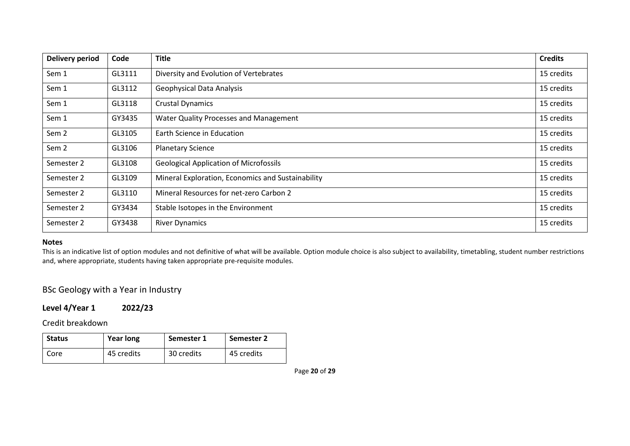| <b>Delivery period</b> | Code   | <b>Title</b>                                      | <b>Credits</b> |
|------------------------|--------|---------------------------------------------------|----------------|
| Sem 1                  | GL3111 | Diversity and Evolution of Vertebrates            | 15 credits     |
| Sem 1                  | GL3112 | <b>Geophysical Data Analysis</b>                  | 15 credits     |
| Sem 1                  | GL3118 | <b>Crustal Dynamics</b>                           | 15 credits     |
| Sem 1                  | GY3435 | Water Quality Processes and Management            | 15 credits     |
| Sem 2                  | GL3105 | Earth Science in Education                        | 15 credits     |
| Sem 2                  | GL3106 | <b>Planetary Science</b>                          | 15 credits     |
| Semester 2             | GL3108 | <b>Geological Application of Microfossils</b>     | 15 credits     |
| Semester 2             | GL3109 | Mineral Exploration, Economics and Sustainability | 15 credits     |
| Semester 2             | GL3110 | Mineral Resources for net-zero Carbon 2           | 15 credits     |
| Semester 2             | GY3434 | Stable Isotopes in the Environment                | 15 credits     |
| Semester 2             | GY3438 | <b>River Dynamics</b>                             | 15 credits     |

This is an indicative list of option modules and not definitive of what will be available. Option module choice is also subject to availability, timetabling, student number restrictions and, where appropriate, students having taken appropriate pre-requisite modules.

## BSc Geology with a Year in Industry

### **Level 4/Year 1 2022/23**

Credit breakdown

| <b>Status</b> | <b>Year long</b> | Semester 1 | Semester 2 |
|---------------|------------------|------------|------------|
| Core          | 45 credits       | 30 credits | 45 credits |

Page **20** of **29**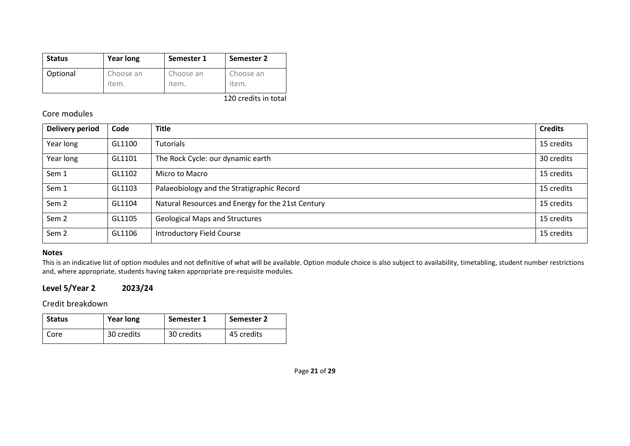| <b>Status</b> | <b>Year long</b> | Semester 1 | Semester 2 |
|---------------|------------------|------------|------------|
| Optional      | Choose an        | Choose an  | Choose an  |
|               | item.            | item.      | item.      |

120 credits in total

### Core modules

| Delivery period  | Code   | <b>Title</b>                                      | <b>Credits</b> |
|------------------|--------|---------------------------------------------------|----------------|
| Year long        | GL1100 | <b>Tutorials</b>                                  | 15 credits     |
| Year long        | GL1101 | The Rock Cycle: our dynamic earth                 | 30 credits     |
| Sem 1            | GL1102 | Micro to Macro                                    | 15 credits     |
| Sem 1            | GL1103 | Palaeobiology and the Stratigraphic Record        | 15 credits     |
| Sem <sub>2</sub> | GL1104 | Natural Resources and Energy for the 21st Century | 15 credits     |
| Sem <sub>2</sub> | GL1105 | <b>Geological Maps and Structures</b>             | 15 credits     |
| Sem <sub>2</sub> | GL1106 | <b>Introductory Field Course</b>                  | 15 credits     |

#### **Notes**

This is an indicative list of option modules and not definitive of what will be available. Option module choice is also subject to availability, timetabling, student number restrictions and, where appropriate, students having taken appropriate pre-requisite modules.

### **Level 5/Year 2 2023/24**

Credit breakdown

| <b>Status</b> | <b>Year long</b> | Semester 1 | Semester 2 |
|---------------|------------------|------------|------------|
| Core          | 30 credits       | 30 credits | 45 credits |

Page **21** of **29**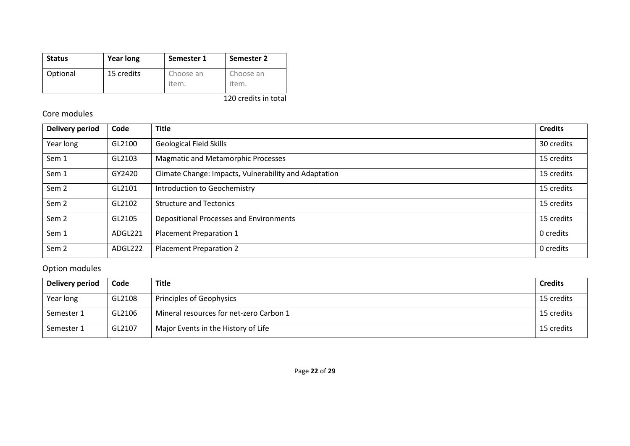| <b>Status</b> | <b>Year long</b> | Semester 1         | Semester 2         |
|---------------|------------------|--------------------|--------------------|
| Optional      | 15 credits       | Choose an<br>item. | Choose an<br>item. |

120 credits in total

## Core modules

| <b>Delivery period</b> | Code    | <b>Title</b>                                          | <b>Credits</b> |
|------------------------|---------|-------------------------------------------------------|----------------|
| Year long              | GL2100  | <b>Geological Field Skills</b>                        | 30 credits     |
| Sem 1                  | GL2103  | <b>Magmatic and Metamorphic Processes</b>             | 15 credits     |
| Sem 1                  | GY2420  | Climate Change: Impacts, Vulnerability and Adaptation | 15 credits     |
| Sem <sub>2</sub>       | GL2101  | Introduction to Geochemistry                          | 15 credits     |
| Sem <sub>2</sub>       | GL2102  | <b>Structure and Tectonics</b>                        | 15 credits     |
| Sem <sub>2</sub>       | GL2105  | Depositional Processes and Environments               | 15 credits     |
| Sem 1                  | ADGL221 | <b>Placement Preparation 1</b>                        | 0 credits      |
| Sem <sub>2</sub>       | ADGL222 | <b>Placement Preparation 2</b>                        | 0 credits      |

# Option modules

| Delivery period | Code   | <b>Title</b>                            | <b>Credits</b> |
|-----------------|--------|-----------------------------------------|----------------|
| Year long       | GL2108 | Principles of Geophysics                | 15 credits     |
| Semester 1      | GL2106 | Mineral resources for net-zero Carbon 1 | 15 credits     |
| Semester 1      | GL2107 | Major Events in the History of Life     | 15 credits     |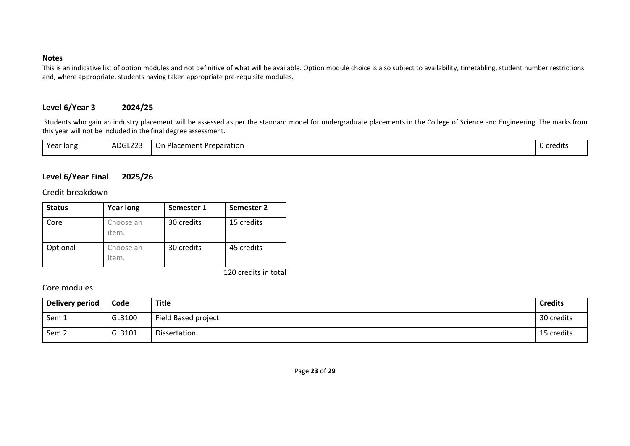This is an indicative list of option modules and not definitive of what will be available. Option module choice is also subject to availability, timetabling, student number restrictions and, where appropriate, students having taken appropriate pre-requisite modules.

### **Level 6/Year 3 2024/25**

Students who gain an industry placement will be assessed as per the standard model for undergraduate placements in the College of Science and Engineering. The marks from this year will not be included in the final degree assessment.

| ATG1222<br>Year long<br>On.<br>Preparation<br>Placement :<br>ADULZZJ<br>. . | 0 credits |
|-----------------------------------------------------------------------------|-----------|
|-----------------------------------------------------------------------------|-----------|

### **Level 6/Year Final 2025/26**

Credit breakdown

| <b>Status</b> | <b>Year long</b>   | Semester 1 | Semester 2 |
|---------------|--------------------|------------|------------|
| Core          | Choose an<br>item. | 30 credits | 15 credits |
| Optional      | Choose an<br>item. | 30 credits | 45 credits |

120 credits in total

### Core modules

| Delivery period  | Code   | <b>Title</b>        | <b>Credits</b> |
|------------------|--------|---------------------|----------------|
| Sem 1            | GL3100 | Field Based project | 30 credits     |
| Sem <sub>2</sub> | GL3101 | Dissertation        | 15 credits     |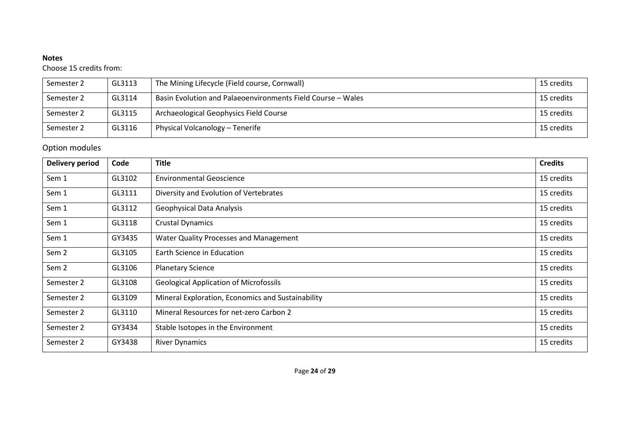Choose 15 credits from:

| Semester 2 | GL3113 | The Mining Lifecycle (Field course, Cornwall)               | 15 credits |
|------------|--------|-------------------------------------------------------------|------------|
| Semester 2 | GL3114 | Basin Evolution and Palaeoenvironments Field Course – Wales | 15 credits |
| Semester 2 | GL3115 | Archaeological Geophysics Field Course                      | 15 credits |
| Semester 2 | GL3116 | Physical Volcanology - Tenerife                             | 15 credits |

## Option modules

| <b>Delivery period</b> | Code   | <b>Title</b>                                      | <b>Credits</b> |
|------------------------|--------|---------------------------------------------------|----------------|
| Sem 1                  | GL3102 | <b>Environmental Geoscience</b>                   | 15 credits     |
| Sem 1                  | GL3111 | Diversity and Evolution of Vertebrates            | 15 credits     |
| Sem 1                  | GL3112 | <b>Geophysical Data Analysis</b>                  | 15 credits     |
| Sem 1                  | GL3118 | <b>Crustal Dynamics</b>                           | 15 credits     |
| Sem 1                  | GY3435 | Water Quality Processes and Management            | 15 credits     |
| Sem <sub>2</sub>       | GL3105 | Earth Science in Education                        | 15 credits     |
| Sem <sub>2</sub>       | GL3106 | <b>Planetary Science</b>                          | 15 credits     |
| Semester 2             | GL3108 | <b>Geological Application of Microfossils</b>     | 15 credits     |
| Semester 2             | GL3109 | Mineral Exploration, Economics and Sustainability | 15 credits     |
| Semester 2             | GL3110 | Mineral Resources for net-zero Carbon 2           | 15 credits     |
| Semester 2             | GY3434 | Stable Isotopes in the Environment                | 15 credits     |
| Semester 2             | GY3438 | <b>River Dynamics</b>                             | 15 credits     |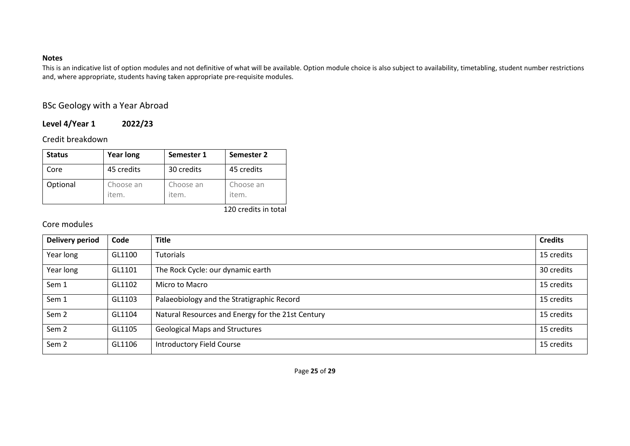This is an indicative list of option modules and not definitive of what will be available. Option module choice is also subject to availability, timetabling, student number restrictions and, where appropriate, students having taken appropriate pre-requisite modules.

## BSc Geology with a Year Abroad

### **Level 4/Year 1 2022/23**

Credit breakdown

| <b>Status</b> | <b>Year long</b>   | Semester 1         | Semester 2         |
|---------------|--------------------|--------------------|--------------------|
| Core          | 45 credits         | 30 credits         | 45 credits         |
| Optional      | Choose an<br>item. | Choose an<br>item. | Choose an<br>item. |

120 credits in total

## Core modules

| <b>Delivery period</b> | Code   | <b>Title</b>                                      | <b>Credits</b> |
|------------------------|--------|---------------------------------------------------|----------------|
| Year long              | GL1100 | Tutorials                                         | 15 credits     |
| Year long              | GL1101 | The Rock Cycle: our dynamic earth                 | 30 credits     |
| Sem 1                  | GL1102 | Micro to Macro                                    | 15 credits     |
| Sem 1                  | GL1103 | Palaeobiology and the Stratigraphic Record        | 15 credits     |
| Sem <sub>2</sub>       | GL1104 | Natural Resources and Energy for the 21st Century | 15 credits     |
| Sem <sub>2</sub>       | GL1105 | <b>Geological Maps and Structures</b>             | 15 credits     |
| Sem <sub>2</sub>       | GL1106 | <b>Introductory Field Course</b>                  | 15 credits     |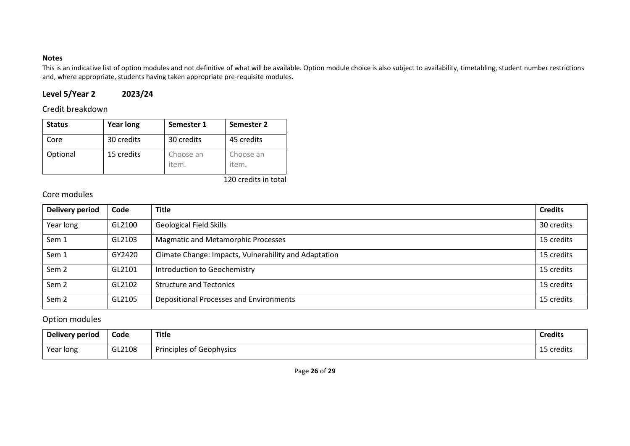This is an indicative list of option modules and not definitive of what will be available. Option module choice is also subject to availability, timetabling, student number restrictions and, where appropriate, students having taken appropriate pre-requisite modules.

## **Level 5/Year 2 2023/24**

### Credit breakdown

| <b>Status</b> | <b>Year long</b> | Semester 1         | Semester 2         |
|---------------|------------------|--------------------|--------------------|
| Core          | 30 credits       | 30 credits         | 45 credits         |
| Optional      | 15 credits       | Choose an<br>item. | Choose an<br>item. |

120 credits in total

## Core modules

| <b>Delivery period</b> | Code   | <b>Title</b>                                          | <b>Credits</b> |
|------------------------|--------|-------------------------------------------------------|----------------|
| Year long              | GL2100 | <b>Geological Field Skills</b>                        | 30 credits     |
| Sem 1                  | GL2103 | <b>Magmatic and Metamorphic Processes</b>             | 15 credits     |
| Sem 1                  | GY2420 | Climate Change: Impacts, Vulnerability and Adaptation | 15 credits     |
| Sem <sub>2</sub>       | GL2101 | Introduction to Geochemistry                          | 15 credits     |
| Sem <sub>2</sub>       | GL2102 | <b>Structure and Tectonics</b>                        | 15 credits     |
| Sem <sub>2</sub>       | GL2105 | Depositional Processes and Environments               | 15 credits     |

### Option modules

| <b>Delivery period</b> | Code   | <b>Title</b>             | <b>Credits</b>       |
|------------------------|--------|--------------------------|----------------------|
| Year long              | GL2108 | Principles of Geophysics | <b>AF</b><br>credits |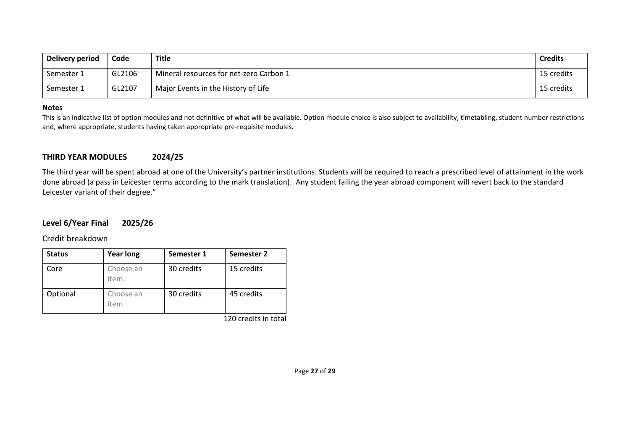| Delivery period | Code   | Title                                   | <b>Credits</b> |
|-----------------|--------|-----------------------------------------|----------------|
| Semester 1      | GL2106 | Mineral resources for net-zero Carbon 1 | 15 credits     |
| Semester 1      | GL2107 | Major Events in the History of Life     | 15 credits     |

This is an indicative list of option modules and not definitive of what will be available. Option module choice is also subject to availability, timetabling, student number restrictions and, where appropriate, students having taken appropriate pre-requisite modules.

#### **THIRD YEAR MODULES 2024/25**

The third year will be spent abroad at one of the University's partner institutions. Students will be required to reach a prescribed level of attainment in the work done abroad (a pass in Leicester terms according to the mark translation). Any student failing the year abroad component will revert back to the standard Leicester variant of their degree."

#### **Level 6/Year Final 2025/26**

Credit breakdown

| <b>Status</b> | <b>Year long</b>   | Semester 1 | Semester 2 |
|---------------|--------------------|------------|------------|
| Core          | Choose an<br>item. | 30 credits | 15 credits |
| Optional      | Choose an<br>item. | 30 credits | 45 credits |

120 credits in total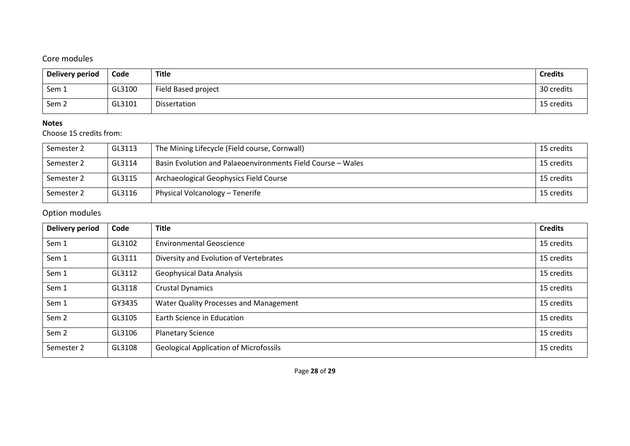## Core modules

| <b>Delivery period</b> | Code   | Title               | <b>Credits</b> |
|------------------------|--------|---------------------|----------------|
| Sem 1                  | GL3100 | Field Based project | 30 credits     |
| Sem 2                  | GL3101 | Dissertation        | 15 credits     |

#### **Notes**

Choose 15 credits from:

| Semester 2 | GL3113 | The Mining Lifecycle (Field course, Cornwall)               | 15 credits |
|------------|--------|-------------------------------------------------------------|------------|
| Semester 2 | GL3114 | Basin Evolution and Palaeoenvironments Field Course - Wales | 15 credits |
| Semester 2 | GL3115 | Archaeological Geophysics Field Course                      | 15 credits |
| Semester 2 | GL3116 | Physical Volcanology - Tenerife                             | 15 credits |

# Option modules

| <b>Delivery period</b> | Code   | <b>Title</b>                                  | <b>Credits</b> |
|------------------------|--------|-----------------------------------------------|----------------|
| Sem 1                  | GL3102 | <b>Environmental Geoscience</b>               | 15 credits     |
| Sem 1                  | GL3111 | Diversity and Evolution of Vertebrates        | 15 credits     |
| Sem 1                  | GL3112 | <b>Geophysical Data Analysis</b>              | 15 credits     |
| Sem 1                  | GL3118 | <b>Crustal Dynamics</b>                       | 15 credits     |
| Sem 1                  | GY3435 | Water Quality Processes and Management        | 15 credits     |
| Sem <sub>2</sub>       | GL3105 | Earth Science in Education                    | 15 credits     |
| Sem <sub>2</sub>       | GL3106 | <b>Planetary Science</b>                      | 15 credits     |
| Semester 2             | GL3108 | <b>Geological Application of Microfossils</b> | 15 credits     |